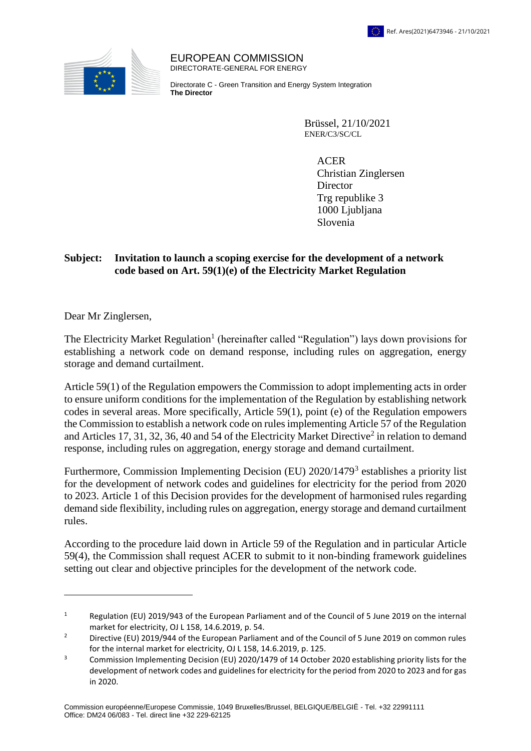

EUROPEAN COMMISSION DIRECTORATE-GENERAL FOR ENERGY

Directorate C - Green Transition and Energy System Integration **The Director**

> Brüssel, 21/10/2021 ENER/C3/SC/CL

> > ACER Christian Zinglersen **Director** Trg republike 3 1000 Ljubljana Slovenia

## **Subject: Invitation to launch a scoping exercise for the development of a network code based on Art. 59(1)(e) of the Electricity Market Regulation**

Dear Mr Zinglersen,

1

The Electricity Market Regulation<sup>1</sup> (hereinafter called "Regulation") lays down provisions for establishing a network code on demand response, including rules on aggregation, energy storage and demand curtailment.

Article 59(1) of the Regulation empowers the Commission to adopt implementing acts in order to ensure uniform conditions for the implementation of the Regulation by establishing network codes in several areas. More specifically, Article 59(1), point (e) of the Regulation empowers the Commission to establish a network code on rules implementing Article 57 of the Regulation and Articles 17, 31, 32, 36, 40 and 54 of the Electricity Market Directive<sup>2</sup> in relation to demand response, including rules on aggregation, energy storage and demand curtailment.

Furthermore, Commission Implementing Decision (EU) 2020/1479<sup>3</sup> establishes a priority list for the development of network codes and guidelines for electricity for the period from 2020 to 2023. Article 1 of this Decision provides for the development of harmonised rules regarding demand side flexibility, including rules on aggregation, energy storage and demand curtailment rules.

According to the procedure laid down in Article 59 of the Regulation and in particular Article 59(4), the Commission shall request ACER to submit to it non-binding framework guidelines setting out clear and objective principles for the development of the network code.

<sup>&</sup>lt;sup>1</sup> Regulation (EU) 2019/943 of the European Parliament and of the Council of 5 June 2019 on the internal market for electricity, OJ L 158, 14.6.2019, p. 54.

<sup>&</sup>lt;sup>2</sup> Directive (EU) 2019/944 of the European Parliament and of the Council of 5 June 2019 on common rules for the internal market for electricity, OJ L 158, 14.6.2019, p. 125.

<sup>&</sup>lt;sup>3</sup> Commission Implementing Decision (EU) 2020/1479 of 14 October 2020 establishing priority lists for the development of network codes and guidelines for electricity for the period from 2020 to 2023 and for gas in 2020.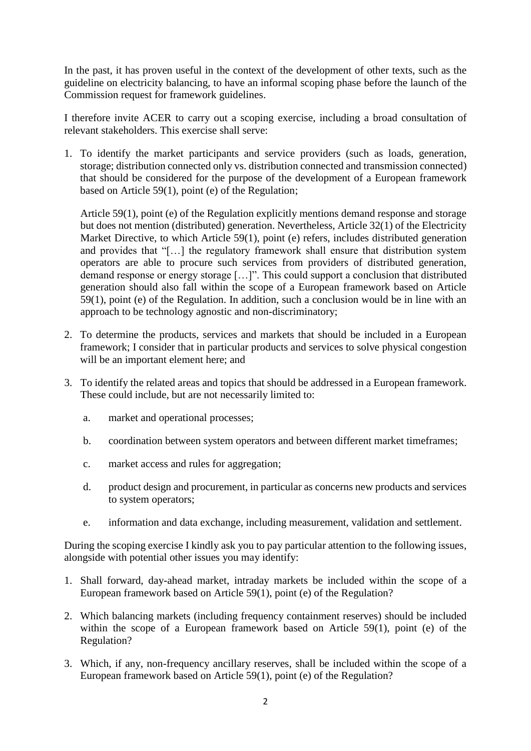In the past, it has proven useful in the context of the development of other texts, such as the guideline on electricity balancing, to have an informal scoping phase before the launch of the Commission request for framework guidelines.

I therefore invite ACER to carry out a scoping exercise, including a broad consultation of relevant stakeholders. This exercise shall serve:

1. To identify the market participants and service providers (such as loads, generation, storage; distribution connected only vs. distribution connected and transmission connected) that should be considered for the purpose of the development of a European framework based on Article 59(1), point (e) of the Regulation;

Article 59(1), point (e) of the Regulation explicitly mentions demand response and storage but does not mention (distributed) generation. Nevertheless, Article 32(1) of the Electricity Market Directive, to which Article 59(1), point (e) refers, includes distributed generation and provides that "[…] the regulatory framework shall ensure that distribution system operators are able to procure such services from providers of distributed generation, demand response or energy storage […]". This could support a conclusion that distributed generation should also fall within the scope of a European framework based on Article 59(1), point (e) of the Regulation. In addition, such a conclusion would be in line with an approach to be technology agnostic and non-discriminatory;

- 2. To determine the products, services and markets that should be included in a European framework; I consider that in particular products and services to solve physical congestion will be an important element here; and
- 3. To identify the related areas and topics that should be addressed in a European framework. These could include, but are not necessarily limited to:
	- a. market and operational processes;
	- b. coordination between system operators and between different market timeframes;
	- c. market access and rules for aggregation;
	- d. product design and procurement, in particular as concerns new products and services to system operators;
	- e. information and data exchange, including measurement, validation and settlement.

During the scoping exercise I kindly ask you to pay particular attention to the following issues, alongside with potential other issues you may identify:

- 1. Shall forward, day-ahead market, intraday markets be included within the scope of a European framework based on Article 59(1), point (e) of the Regulation?
- 2. Which balancing markets (including frequency containment reserves) should be included within the scope of a European framework based on Article 59(1), point (e) of the Regulation?
- 3. Which, if any, non-frequency ancillary reserves, shall be included within the scope of a European framework based on Article 59(1), point (e) of the Regulation?